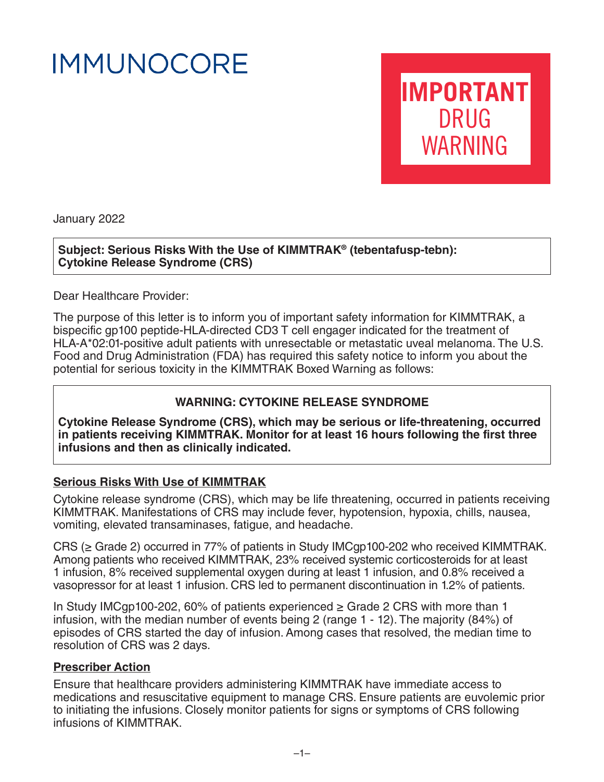# **IMMUNOCORE**

**IMPORTANT** DRUG WARNING

January 2022

**Subject: Serious Risks With the Use of KIMMTRAK® (tebentafusp-tebn): Cytokine Release Syndrome (CRS)**

Dear Healthcare Provider:

The purpose of this letter is to inform you of important safety information for KIMMTRAK, a bispecific gp100 peptide-HLA-directed CD3 T cell engager indicated for the treatment of HLA-A\*02:01-positive adult patients with unresectable or metastatic uveal melanoma. The U.S. Food and Drug Administration (FDA) has required this safety notice to inform you about the potential for serious toxicity in the KIMMTRAK Boxed Warning as follows:

## **WARNING: CYTOKINE RELEASE SYNDROME**

**Cytokine Release Syndrome (CRS), which may be serious or life-threatening, occurred in patients receiving KIMMTRAK. Monitor for at least 16 hours following the first three infusions and then as clinically indicated.**

#### **Serious Risks With Use of KIMMTRAK**

Cytokine release syndrome (CRS), which may be life threatening, occurred in patients receiving KIMMTRAK. Manifestations of CRS may include fever, hypotension, hypoxia, chills, nausea, vomiting, elevated transaminases, fatigue, and headache.

CRS (≥ Grade 2) occurred in 77% of patients in Study IMCgp100-202 who received KIMMTRAK. Among patients who received KIMMTRAK, 23% received systemic corticosteroids for at least 1 infusion, 8% received supplemental oxygen during at least 1 infusion, and 0.8% received a vasopressor for at least 1 infusion. CRS led to permanent discontinuation in 1.2% of patients.

In Study IMCgp100-202, 60% of patients experienced  $\geq$  Grade 2 CRS with more than 1 infusion, with the median number of events being 2 (range 1 - 12). The majority (84%) of episodes of CRS started the day of infusion. Among cases that resolved, the median time to resolution of CRS was 2 days.

#### **Prescriber Action**

Ensure that healthcare providers administering KIMMTRAK have immediate access to medications and resuscitative equipment to manage CRS. Ensure patients are euvolemic prior to initiating the infusions. Closely monitor patients for signs or symptoms of CRS following infusions of KIMMTRAK.